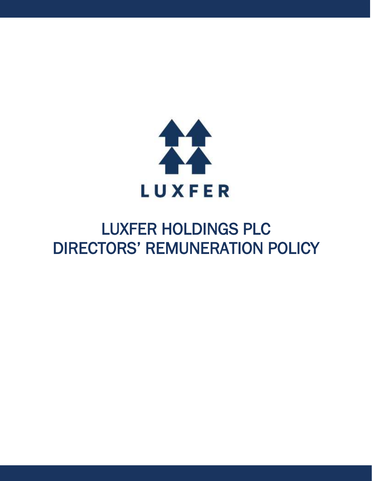

# LUXFER HOLDINGS PLC DIRECTORS' REMUNERATION POLICY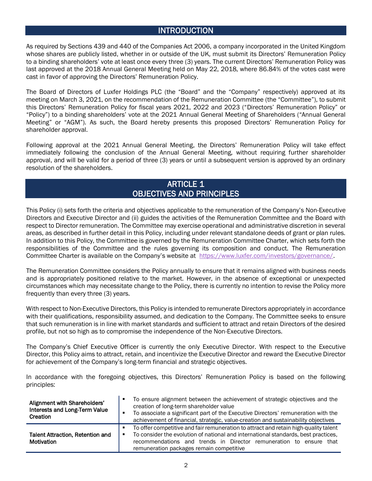## INTRODUCTION

As required by Sections 439 and 440 of the Companies Act 2006, a company incorporated in the United Kingdom whose shares are publicly listed, whether in or outside of the UK, must submit its Directors' Remuneration Policy to a binding shareholders' vote at least once every three (3) years. The current Directors' Remuneration Policy was last approved at the 2018 Annual General Meeting held on May 22, 2018, where 86.84% of the votes cast were cast in favor of approving the Directors' Remuneration Policy.

The Board of Directors of Luxfer Holdings PLC (the "Board" and the "Company" respectively) approved at its meeting on March 3, 2021, on the recommendation of the Remuneration Committee (the "Committee"), to submit this Directors' Remuneration Policy for fiscal years 2021, 2022 and 2023 ("Directors' Remuneration Policy" or "Policy") to a binding shareholders' vote at the 2021 Annual General Meeting of Shareholders ("Annual General Meeting" or "AGM"). As such, the Board hereby presents this proposed Directors' Remuneration Policy for shareholder approval.

Following approval at the 2021 Annual General Meeting, the Directors' Remuneration Policy will take effect immediately following the conclusion of the Annual General Meeting, without requiring further shareholder approval, and will be valid for a period of three (3) years or until a subsequent version is approved by an ordinary resolution of the shareholders.

### ARTICLE 1 OBJECTIVES AND PRINCIPLES

This Policy (i) sets forth the criteria and objectives applicable to the remuneration of the Company's Non-Executive Directors and Executive Director and (ii) guides the activities of the Remuneration Committee and the Board with respect to Director remuneration. The Committee may exercise operational and administrative discretion in several areas, as described in further detail in this Policy, including under relevant standalone deeds of grant or plan rules. In addition to this Policy, the Committee is governed by the Remuneration Committee Charter, which sets forth the responsibilities of the Committee and the rules governing its composition and conduct. The Remuneration Committee Charter is available on the Company's website at [https://www.luxfer.com/investors/governance/.](https://www.luxfer.com/investors/governance/)

The Remuneration Committee considers the Policy annually to ensure that it remains aligned with business needs and is appropriately positioned relative to the market. However, in the absence of exceptional or unexpected circumstances which may necessitate change to the Policy, there is currently no intention to revise the Policy more frequently than every three (3) years.

With respect to Non-Executive Directors, this Policy is intended to remunerate Directors appropriately in accordance with their qualifications, responsibility assumed, and dedication to the Company. The Committee seeks to ensure that such remuneration is in line with market standards and sufficient to attract and retain Directors of the desired profile, but not so high as to compromise the independence of the Non-Executive Directors.

The Company's Chief Executive Officer is currently the only Executive Director. With respect to the Executive Director, this Policy aims to attract, retain, and incentivize the Executive Director and reward the Executive Director for achievement of the Company's long-term financial and strategic objectives.

In accordance with the foregoing objectives, this Directors' Remuneration Policy is based on the following principles:

| Alignment with Shareholders'<br><b>Interests and Long-Term Value</b><br>Creation | п | To ensure alignment between the achievement of strategic objectives and the<br>creation of long-term shareholder value<br>To associate a significant part of the Executive Directors' remuneration with the<br>achievement of financial, strategic, value-creation and sustainability objectives |  |
|----------------------------------------------------------------------------------|---|--------------------------------------------------------------------------------------------------------------------------------------------------------------------------------------------------------------------------------------------------------------------------------------------------|--|
| <b>Talent Attraction, Retention and</b><br>Motivation                            | ٠ | To offer competitive and fair remuneration to attract and retain high-quality talent<br>To consider the evolution of national and international standards, best practices,<br>recommendations and trends in Director remuneration to ensure that<br>remuneration packages remain competitive     |  |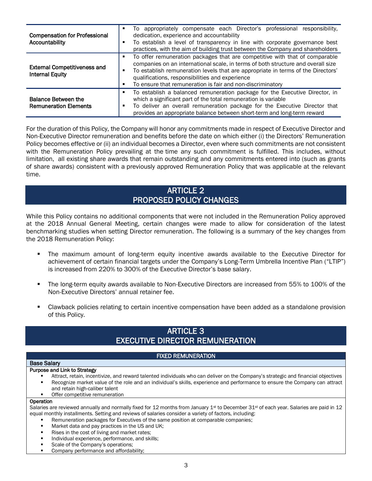| <b>Compensation for Professional</b><br>Accountability     |   | To appropriately compensate each Director's professional responsibility,<br>dedication, experience and accountability<br>To establish a level of transparency in line with corporate governance best<br>practices, with the aim of building trust between the Company and shareholders                                                                               |  |
|------------------------------------------------------------|---|----------------------------------------------------------------------------------------------------------------------------------------------------------------------------------------------------------------------------------------------------------------------------------------------------------------------------------------------------------------------|--|
| <b>External Competitiveness and</b><br>Internal Equity     |   | To offer remuneration packages that are competitive with that of comparable<br>companies on an international scale, in terms of both structure and overall size<br>To establish remuneration levels that are appropriate in terms of the Directors'<br>qualifications, responsibilities and experience<br>To ensure that remuneration is fair and non-discriminatory |  |
| <b>Balance Between the</b><br><b>Remuneration Elements</b> | ٠ | To establish a balanced remuneration package for the Executive Director, in<br>which a significant part of the total remuneration is variable<br>To deliver an overall remuneration package for the Executive Director that<br>provides an appropriate balance between short-term and long-term reward                                                               |  |

For the duration of this Policy, the Company will honor any commitments made in respect of Executive Director and Non-Executive Director remuneration and benefits before the date on which either (i) the Directors' Remuneration Policy becomes effective or (ii) an individual becomes a Director, even where such commitments are not consistent with the Remuneration Policy prevailing at the time any such commitment is fulfilled. This includes, without limitation, all existing share awards that remain outstanding and any commitments entered into (such as grants of share awards) consistent with a previously approved Remuneration Policy that was applicable at the relevant time.

### ARTICLE 2 PROPOSED POLICY CHANGES

While this Policy contains no additional components that were not included in the Remuneration Policy approved at the 2018 Annual General Meeting, certain changes were made to allow for consideration of the latest benchmarking studies when setting Director remuneration. The following is a summary of the key changes from the 2018 Remuneration Policy:

- **•** The maximum amount of long-term equity incentive awards available to the Executive Director for achievement of certain financial targets under the Company's Long-Term Umbrella Incentive Plan ("LTIP") is increased from 220% to 300% of the Executive Director's base salary.
- The long-term equity awards available to Non-Executive Directors are increased from 55% to 100% of the Non-Executive Directors' annual retainer fee.
- **•** Clawback policies relating to certain incentive compensation have been added as a standalone provision of this Policy.

### ARTICLE 3 EXECUTIVE DIRECTOR REMUNERATION

#### FIXED REMUNERATION

#### Base Salary

#### Purpose and Link to Strategy

- Attract, retain, incentivize, and reward talented individuals who can deliver on the Company's strategic and financial objectives Recognize market value of the role and an individual's skills, experience and performance to ensure the Company can attract and retain high-caliber talent
- Offer competitive remuneration

#### **Operation**

Salaries are reviewed annually and normally fixed for 12 months from January 1<sup>st</sup> to December 31<sup>st</sup> of each year. Salaries are paid in 12 equal monthly installments. Setting and reviews of salaries consider a variety of factors, including:

- Remuneration packages for Executives of the same position at comparable companies;
- Market data and pay practices in the US and UK;
- Rises in the cost of living and market rates;
- Individual experience, performance, and skills;
- Scale of the Company's operations;
- Company performance and affordability;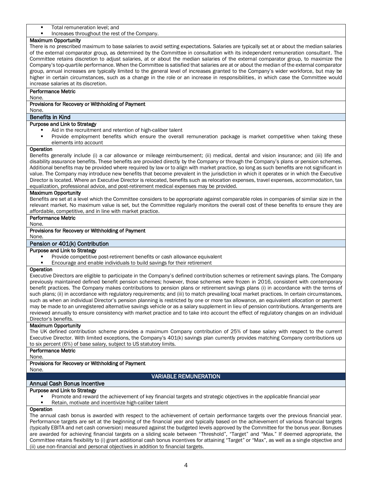- Total remuneration level; and
- Increases throughout the rest of the Company.

#### Maximum Opportunity

There is no prescribed maximum to base salaries to avoid setting expectations. Salaries are typically set at or about the median salaries of the external comparator group, as determined by the Committee in consultation with its independent remuneration consultant. The Committee retains discretion to adjust salaries, at or about the median salaries of the external comparator group, to maximize the Company's top-quartile performance. When the Committee is satisfied that salaries are at or about the median of the external comparator group, annual increases are typically limited to the general level of increases granted to the Company's wider workforce, but may be higher in certain circumstances, such as a change in the role or an increase in responsibilities, in which case the Committee would increase salaries at its discretion.

#### Performance Metric

None.

#### Provisions for Recovery or Withholding of Payment

None.

#### Benefits in Kind

#### Purpose and Link to Strategy

- Aid in the recruitment and retention of high-caliber talent
- Provide employment benefits which ensure the overall remuneration package is market competitive when taking these elements into account

#### Operation

Benefits generally include (i) a car allowance or mileage reimbursement; (ii) medical, dental and vision insurance; and (iii) life and disability assurance benefits. These benefits are provided directly by the Company or through the Company's plans or pension schemes. Additional benefits may be provided where required by law or to align with market practice, so long as such benefits are not significant in value. The Company may introduce new benefits that become prevalent in the jurisdiction in which it operates or in which the Executive Director is located. Where an Executive Director is relocated, benefits such as relocation expenses, travel expenses, accommodation, tax equalization, professional advice, and post-retirement medical expenses may be provided.

#### Maximum Opportunity

Benefits are set at a level which the Committee considers to be appropriate against comparable roles in companies of similar size in the relevant market. No maximum value is set, but the Committee regularly monitors the overall cost of these benefits to ensure they are affordable, competitive, and in line with market practice.

#### Performance Metric

None.

#### Provisions for Recovery or Withholding of Payment

None.

#### Pension or 401(k) Contribution

#### Purpose and Link to Strategy

- Provide competitive post-retirement benefits or cash allowance equivalent
- Encourage and enable individuals to build savings for their retirement

#### **Operation**

Executive Directors are eligible to participate in the Company's defined contribution schemes or retirement savings plans. The Company previously maintained defined benefit pension schemes; however, those schemes were frozen in 2016, consistent with contemporary benefit practices. The Company makes contributions to pension plans or retirement savings plans (i) in accordance with the terms of such plans; (ii) in accordance with regulatory requirements; and (iii) to match prevailing local market practices. In certain circumstances, such as when an individual Director's pension planning is restricted by one or more tax allowance, an equivalent allocation or payment may be made to an unregistered alternative savings vehicle or as a salary supplement in lieu of pension contributions. Arrangements are reviewed annually to ensure consistency with market practice and to take into account the effect of regulatory changes on an individual Director's benefits.

#### Maximum Opportunity

The UK defined contribution scheme provides a maximum Company contribution of 25% of base salary with respect to the current Executive Director. With limited exceptions, the Company's 401(k) savings plan currently provides matching Company contributions up to six percent (6%) of base salary, subject to US statutory limits.

#### Performance Metric

None.

#### Provisions for Recovery or Withholding of Payment

None.

#### VARIABLE REMUNERATION

#### Annual Cash Bonus Incentive

#### Purpose and Link to Strategy

- Promote and reward the achievement of key financial targets and strategic objectives in the applicable financial year
- Retain, motivate and incentivize high-caliber talent

#### **Operation**

The annual cash bonus is awarded with respect to the achievement of certain performance targets over the previous financial year. Performance targets are set at the beginning of the financial year and typically based on the achievement of various financial targets (typically EBITA and net cash conversion) measured against the budgeted levels approved by the Committee for the bonus year. Bonuses are awarded for achieving financial targets on a sliding scale between "Threshold", "Target" and "Max." If deemed appropriate, the Committee retains flexibility to (i) grant additional cash bonus incentives for attaining "Target" or "Max", as well as a single objective and (ii) use non-financial and personal objectives in addition to financial targets.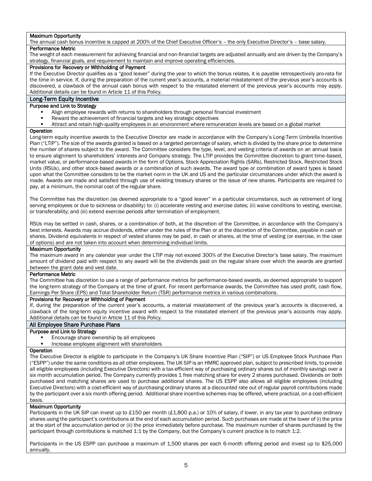#### Maximum Opportunity

The annual cash bonus incentive is capped at 200% of the Chief Executive Officer's – the only Executive Director's – base salary. Performance Metric

The weight of each measurement for achieving financial and non-financial targets are adjusted annually and are driven by the Company's strategy, financial goals, and requirement to maintain and improve operating efficiencies.

#### Provisions for Recovery or Withholding of Payment

If the Executive Director qualifies as a "good leaver" during the year to which the bonus relates, it is payable retrospectively pro-rata for the time in service. If, during the preparation of the current year's accounts, a material misstatement of the previous year's accounts is discovered, a clawback of the annual cash bonus with respect to the misstated element of the previous year's accounts may apply. Additional details can be found in Article 11 of this Policy.

#### Long-Term Equity Incentive

#### Purpose and Link to Strategy

- Align employee rewards with returns to shareholders through personal financial investment
- Reward the achievement of financial targets and key strategic objectives
- Attract and retain high-quality employees in an environment where remuneration levels are based on a global market

#### **Operation**

Long-term equity incentive awards to the Executive Director are made in accordance with the Company's Long-Term Umbrella Incentive Plan ("LTIP"). The size of the awards granted is based on a targeted percentage of salary, which is divided by the share price to determine the number of shares subject to the award. The Committee considers the type, level, and vesting criteria of awards on an annual basis to ensure alignment to shareholders' interests and Company strategy. The LTIP provides the Committee discretion to grant time-based, market value, or performance-based awards in the form of Options, Stock Appreciation Rights (SARs), Restricted Stock, Restricted Stock Units (RSUs), and other stock-based awards or a combination of such awards. The award type or combination of award types is based upon what the Committee considers to be the market norm in the UK and US and the particular circumstances under which the award is made. Awards are made and satisfied through use of existing treasury shares or the issue of new shares. Participants are required to pay, at a minimum, the nominal cost of the regular share.

The Committee has the discretion (as deemed appropriate to a "good leaver" in a particular circumstance, such as retirement of long serving employees or due to sickness or disability) to: (i) accelerate vesting and exercise dates; (ii) waive conditions to vesting, exercise, or transferability; and (iii) extend exercise periods after termination of employment.

RSUs may be settled in cash, shares, or a combination of both, at the discretion of the Committee, in accordance with the Company's best interests. Awards may accrue dividends, either under the rules of the Plan or at the discretion of the Committee, payable in cash or shares. Dividend equivalents in respect of vested shares may be paid, in cash or shares, at the time of vesting (or exercise, in the case of options) and are not taken into account when determining individual limits.

#### Maximum Opportunity

The maximum award in any calendar year under the LTIP may not exceed 300% of the Executive Director's base salary. The maximum amount of dividend paid with respect to any award will be the dividends paid on the regular share over which the awards are granted between the grant date and vest date.

#### Performance Metric

The Committee has discretion to use a range of performance metrics for performance-based awards, as deemed appropriate to support the long-term strategy of the Company at the time of grant. For recent performance awards, the Committee has used profit, cash flow, Earnings Per Share (EPS) and Total Shareholder Return (TSR) performance metrics in various combinations.

#### Provisions for Recovery or Withholding of Payment

If, during the preparation of the current year's accounts, a material misstatement of the previous year's accounts is discovered, a clawback of the long-term equity incentive award with respect to the misstated element of the previous year's accounts may apply. Additional details can be found in Article 11 of this Policy.

#### All Employee Share Purchase Plans

#### Purpose and Link to Strategy

- Encourage share ownership by all employees
- Increase employee alignment with shareholders

#### **Operation**

The Executive Director is eligible to participate in the Company's UK Share Incentive Plan ("SIP") or US Employee Stock Purchase Plan ("ESPP") under the same conditions as all other employees. The UK SIP is an HMRC approved plan, subject to prescribed limits, to provide all eligible employees (including Executive Directors) with a tax-efficient way of purchasing ordinary shares out of monthly savings over a six month accumulation period. The Company currently provides 1 free matching share for every 2 shares purchased. Dividends on both purchased and matching shares are used to purchase additional shares. The US ESPP also allows all eligible employees (including Executive Directors) with a cost-efficient way of purchasing ordinary shares at a discounted rate out of regular payroll contributions made by the participant over a six month offering period. Additional share incentive schemes may be offered, where practical, on a cost-efficient basis.

#### Maximum Opportunity

Participants in the UK SIP can invest up to £150 per month (£1,800 p.a.) or 10% of salary, if lower, in any tax year to purchase ordinary shares using the participant's contributions at the end of each accumulation period. Such purchases are made at the lower of (i) the price at the start of the accumulation period or (ii) the price immediately before purchase. The maximum number of shares purchased by the participant through contributions is matched 1:1 by the Company, but the Company's current practice is to match 1:2.

Participants in the US ESPP can purchase a maximum of 1,500 shares per each 6-month offering period and invest up to \$25,000 annually.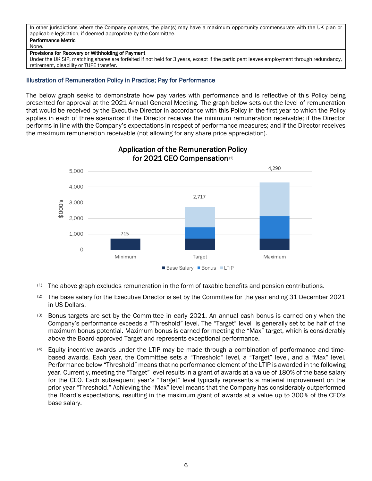#### In other jurisdictions where the Company operates, the plan(s) may have a maximum opportunity commensurate with the UK plan or applicable legislation, if deemed appropriate by the Committee. Performance Metric

### None.

#### Provisions for Recovery or Withholding of Payment

Under the UK SIP, matching shares are forfeited if not held for 3 years, except if the participant leaves employment through redundancy, retirement, disability or TUPE transfer.

### Illustration of Remuneration Policy in Practice; Pay for Performance

The below graph seeks to demonstrate how pay varies with performance and is reflective of this Policy being presented for approval at the 2021 Annual General Meeting. The graph below sets out the level of remuneration that would be received by the Executive Director in accordance with this Policy in the first year to which the Policy applies in each of three scenarios: if the Director receives the minimum remuneration receivable; if the Director performs in line with the Company's expectations in respect of performance measures; and if the Director receives the maximum remuneration receivable (not allowing for any share price appreciation).



### Application of the Remuneration Policy for 2021 CEO Compensation(1)

- $(1)$  The above graph excludes remuneration in the form of taxable benefits and pension contributions.
- (2) The base salary for the Executive Director is set by the Committee for the year ending 31 December 2021 in US Dollars.
- (3) Bonus targets are set by the Committee in early 2021. An annual cash bonus is earned only when the Company's performance exceeds a "Threshold" level. The "Target" level is generally set to be half of the maximum bonus potential. Maximum bonus is earned for meeting the "Max" target, which is considerably above the Board-approved Target and represents exceptional performance.
- (4) Equity incentive awards under the LTIP may be made through a combination of performance and timebased awards. Each year, the Committee sets a "Threshold" level, a "Target" level, and a "Max" level. Performance below "Threshold" means that no performance element of the LTIP is awarded in the following year. Currently, meeting the "Target" level results in a grant of awards at a value of 180% of the base salary for the CEO. Each subsequent year's "Target" level typically represents a material improvement on the prior-year "Threshold." Achieving the "Max" level means that the Company has considerably outperformed the Board's expectations, resulting in the maximum grant of awards at a value up to 300% of the CEO's base salary.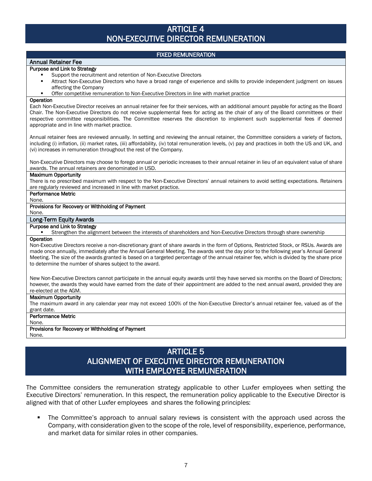### ARTICLE 4 NON-EXECUTIVE DIRECTOR REMUNERATION

#### FIXED REMUNERATION

#### Annual Retainer Fee Purpose and Link to Strategy

- Support the recruitment and retention of Non-Executive Directors
- Attract Non-Executive Directors who have a broad range of experience and skills to provide independent judgment on issues affecting the Company
- **•** Offer competitive remuneration to Non-Executive Directors in line with market practice

#### **Operation**

Each Non-Executive Director receives an annual retainer fee for their services, with an additional amount payable for acting as the Board Chair. The Non-Executive Directors do not receive supplemental fees for acting as the chair of any of the Board committees or their respective committee responsibilities. The Committee reserves the discretion to implement such supplemental fees if deemed appropriate and in line with market practice.

Annual retainer fees are reviewed annually. In setting and reviewing the annual retainer, the Committee considers a variety of factors, including (i) inflation, (ii) market rates, (iii) affordability, (iv) total remuneration levels, (v) pay and practices in both the US and UK, and (vi) increases in remuneration throughout the rest of the Company.

Non-Executive Directors may choose to forego annual or periodic increases to their annual retainer in lieu of an equivalent value of share awards. The annual retainers are denominated in USD.

#### Maximum Opportunity

There is no prescribed maximum with respect to the Non-Executive Directors' annual retainers to avoid setting expectations. Retainers are regularly reviewed and increased in line with market practice.

#### Performance Metric None.

#### Provisions for Recovery or Withholding of Payment

None.

#### Long-Term Equity Awards

#### Purpose and Link to Strategy

- - **•** Strengthen the alignment between the interests of shareholders and Non-Executive Directors through share ownership

#### Operation

Non-Executive Directors receive a non-discretionary grant of share awards in the form of Options, Restricted Stock, or RSUs. Awards are made once annually, immediately after the Annual General Meeting. The awards vest the day prior to the following year's Annual General Meeting. The size of the awards granted is based on a targeted percentage of the annual retainer fee, which is divided by the share price to determine the number of shares subject to the award.

New Non-Executive Directors cannot participate in the annual equity awards until they have served six months on the Board of Directors; however, the awards they would have earned from the date of their appointment are added to the next annual award, provided they are re-elected at the AGM.

#### Maximum Opportunity

The maximum award in any calendar year may not exceed 100% of the Non-Executive Director's annual retainer fee, valued as of the grant date.

#### Performance Metric

None.

### Provisions for Recovery or Withholding of Payment

### None.

### ARTICLE 5 ALIGNMENT OF EXECUTIVE DIRECTOR REMUNERATION WITH EMPLOYEE REMUNERATION

The Committee considers the remuneration strategy applicable to other Luxfer employees when setting the Executive Directors' remuneration. In this respect, the remuneration policy applicable to the Executive Director is aligned with that of other Luxfer employees and shares the following principles:

**•** The Committee's approach to annual salary reviews is consistent with the approach used across the Company, with consideration given to the scope of the role, level of responsibility, experience, performance, and market data for similar roles in other companies.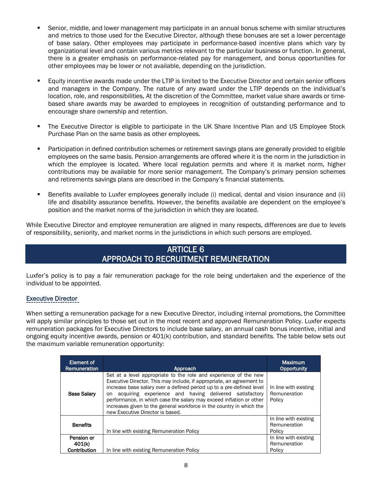- **•** Senior, middle, and lower management may participate in an annual bonus scheme with similar structures and metrics to those used for the Executive Director, although these bonuses are set a lower percentage of base salary. Other employees may participate in performance-based incentive plans which vary by organizational level and contain various metrics relevant to the particular business or function. In general, there is a greater emphasis on performance-related pay for management, and bonus opportunities for other employees may be lower or not available, depending on the jurisdiction.
- Equity incentive awards made under the LTIP is limited to the Executive Director and certain senior officers and managers in the Company. The nature of any award under the LTIP depends on the individual's location, role, and responsibilities, At the discretion of the Committee, market value share awards or timebased share awards may be awarded to employees in recognition of outstanding performance and to encourage share ownership and retention.
- **•** The Executive Director is eligible to participate in the UK Share Incentive Plan and US Employee Stock Purchase Plan on the same basis as other employees.
- Participation in defined contribution schemes or retirement savings plans are generally provided to eligible employees on the same basis. Pension arrangements are offered where it is the norm in the jurisdiction in which the employee is located. Where local regulation permits and where it is market norm, higher contributions may be available for more senior management. The Company's primary pension schemes and retirements savings plans are described in the Company's financial statements.
- **EXECTE:** Benefits available to Luxfer employees generally include (i) medical, dental and vision insurance and (ii) life and disability assurance benefits. However, the benefits available are dependent on the employee's position and the market norms of the jurisdiction in which they are located.

While Executive Director and employee remuneration are aligned in many respects, differences are due to levels of responsibility, seniority, and market norms in the jurisdictions in which such persons are employed.

### ARTICLE 6 APPROACH TO RECRUITMENT REMUNERATION

Luxfer's policy is to pay a fair remuneration package for the role being undertaken and the experience of the individual to be appointed.

#### Executive Director

When setting a remuneration package for a new Executive Director, including internal promotions, the Committee will apply similar principles to those set out in the most recent and approved Remuneration Policy. Luxfer expects remuneration packages for Executive Directors to include base salary, an annual cash bonus incentive, initial and ongoing equity incentive awards, pension or 401(k) contribution, and standard benefits. The table below sets out the maximum variable remuneration opportunity:

| Element of<br>Remuneration           | Approach                                                                                                                                                                                                                                                                                                                                                                                                                                                             | <b>Maximum</b><br><b>Opportunity</b>            |
|--------------------------------------|----------------------------------------------------------------------------------------------------------------------------------------------------------------------------------------------------------------------------------------------------------------------------------------------------------------------------------------------------------------------------------------------------------------------------------------------------------------------|-------------------------------------------------|
| <b>Base Salary</b>                   | Set at a level appropriate to the role and experience of the new<br>Executive Director. This may include, if appropriate, an agreement to<br>increase base salary over a defined period up to a pre-defined level<br>acquiring experience and having delivered satisfactory<br>on<br>performance, in which case the salary may exceed inflation or other<br>increases given to the general workforce in the country in which the<br>new Executive Director is based. | In line with existing<br>Remuneration<br>Policy |
| <b>Benefits</b>                      | In line with existing Remuneration Policy                                                                                                                                                                                                                                                                                                                                                                                                                            | In line with existing<br>Remuneration<br>Policy |
| Pension or<br>401(k)<br>Contribution | In line with existing Remuneration Policy                                                                                                                                                                                                                                                                                                                                                                                                                            | In line with existing<br>Remuneration<br>Policy |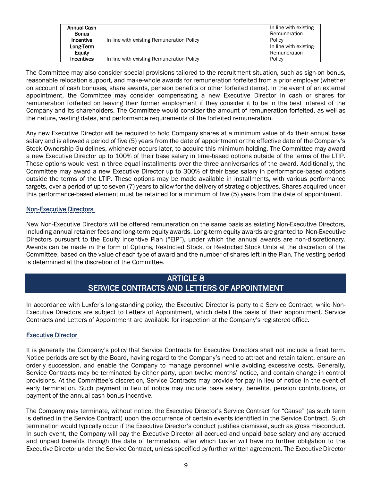|                                           | In line with existing<br>Remuneration |
|-------------------------------------------|---------------------------------------|
| In line with existing Remuneration Policy | Policy                                |
|                                           | In line with existing                 |
|                                           | Remuneration                          |
| In line with existing Remuneration Policy | Policy                                |
|                                           |                                       |

The Committee may also consider special provisions tailored to the recruitment situation, such as sign-on bonus, reasonable relocation support, and make-whole awards for remuneration forfeited from a prior employer (whether on account of cash bonuses, share awards, pension benefits or other forfeited items). In the event of an external appointment, the Committee may consider compensating a new Executive Director in cash or shares for remuneration forfeited on leaving their former employment if they consider it to be in the best interest of the Company and its shareholders. The Committee would consider the amount of remuneration forfeited, as well as the nature, vesting dates, and performance requirements of the forfeited remuneration.

Any new Executive Director will be required to hold Company shares at a minimum value of 4x their annual base salary and is allowed a period of five (5) years from the date of appointment or the effective date of the Company's Stock Ownership Guidelines, whichever occurs later, to acquire this minimum holding. The Committee may award a new Executive Director up to 100% of their base salary in time-based options outside of the terms of the LTIP. These options would vest in three equal installments over the three anniversaries of the award. Additionally, the Committee may award a new Executive Director up to 300% of their base salary in performance-based options outside the terms of the LTIP. These options may be made available in installments, with various performance targets, over a period of up to seven (7) years to allow for the delivery of strategic objectives. Shares acquired under this performance-based element must be retained for a minimum of five (5) years from the date of appointment.

### Non-Executive Directors

New Non-Executive Directors will be offered remuneration on the same basis as existing Non-Executive Directors, including annual retainer fees and long-term equity awards. Long-term equity awards are granted to Non-Executive Directors pursuant to the Equity Incentive Plan ("EIP"), under which the annual awards are non-discretionary. Awards can be made in the form of Options, Restricted Stock, or Restricted Stock Units at the discretion of the Committee, based on the value of each type of award and the number of shares left in the Plan. The vesting period is determined at the discretion of the Committee.

### ARTICLE 8 SERVICE CONTRACTS AND LETTERS OF APPOINTMENT

In accordance with Luxfer's long-standing policy, the Executive Director is party to a Service Contract, while Non-Executive Directors are subject to Letters of Appointment, which detail the basis of their appointment. Service Contracts and Letters of Appointment are available for inspection at the Company's registered office.

### Executive Director

It is generally the Company's policy that Service Contracts for Executive Directors shall not include a fixed term. Notice periods are set by the Board, having regard to the Company's need to attract and retain talent, ensure an orderly succession, and enable the Company to manage personnel while avoiding excessive costs. Generally, Service Contracts may be terminated by either party, upon twelve months' notice, and contain change in control provisions. At the Committee's discretion, Service Contracts may provide for pay in lieu of notice in the event of early termination. Such payment in lieu of notice may include base salary, benefits, pension contributions, or payment of the annual cash bonus incentive.

The Company may terminate, without notice, the Executive Director's Service Contract for "Cause" (as such term is defined in the Service Contract) upon the occurrence of certain events identified in the Service Contract. Such termination would typically occur if the Executive Director's conduct justifies dismissal, such as gross misconduct. In such event, the Company will pay the Executive Director all accrued and unpaid base salary and any accrued and unpaid benefits through the date of termination, after which Luxfer will have no further obligation to the Executive Director under the Service Contract, unless specified by further written agreement. The Executive Director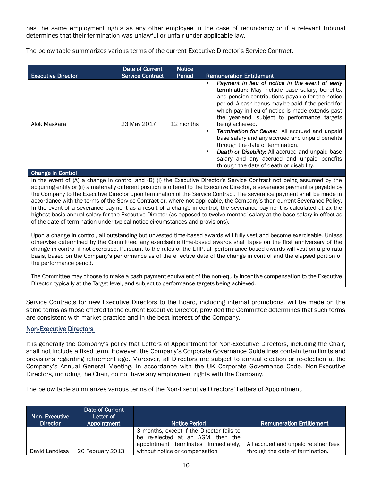has the same employment rights as any other employee in the case of redundancy or if a relevant tribunal determines that their termination was unlawful or unfair under applicable law.

The below table summarizes various terms of the current Executive Director's Service Contract.

|                           | Date of Current         | <b>Notice</b> |                                                                                                                                                                                                                                                                                                                                                                                                                                                                                                                                                                                                                                                 |
|---------------------------|-------------------------|---------------|-------------------------------------------------------------------------------------------------------------------------------------------------------------------------------------------------------------------------------------------------------------------------------------------------------------------------------------------------------------------------------------------------------------------------------------------------------------------------------------------------------------------------------------------------------------------------------------------------------------------------------------------------|
| <b>Executive Director</b> | <b>Service Contract</b> | Period        | <b>Remuneration Entitlement</b>                                                                                                                                                                                                                                                                                                                                                                                                                                                                                                                                                                                                                 |
| Alok Maskara              | 23 May 2017             | 12 months     | Payment in lieu of notice in the event of early<br>п<br>termination: May include base salary, benefits,<br>and pension contributions payable for the notice<br>period. A cash bonus may be paid if the period for<br>which pay in lieu of notice is made extends past<br>the year-end, subject to performance targets<br>being achieved.<br>Termination for Cause: All accrued and unpaid<br>п<br>base salary and any accrued and unpaid benefits<br>through the date of termination.<br><b>Death or Disability:</b> All accrued and unpaid base<br>п<br>salary and any accrued and unpaid benefits<br>through the date of death or disability. |
| <b>Change in Control</b>  |                         |               |                                                                                                                                                                                                                                                                                                                                                                                                                                                                                                                                                                                                                                                 |

#### In the event of (A) a change in control and (B) (i) the Executive Director's Service Contract not being assumed by the acquiring entity or (ii) a materially different position is offered to the Executive Director, a severance payment is payable by the Company to the Executive Director upon termination of the Service Contract. The severance payment shall be made in accordance with the terms of the Service Contract or, where not applicable, the Company's then-current Severance Policy. In the event of a severance payment as a result of a change in control, the severance payment is calculated at 2x the highest basic annual salary for the Executive Director (as opposed to twelve months' salary at the base salary in effect as of the date of termination under typical notice circumstances and provisions).

Upon a change in control, all outstanding but unvested time-based awards will fully vest and become exercisable. Unless otherwise determined by the Committee, any exercisable time-based awards shall lapse on the first anniversary of the change in control if not exercised. Pursuant to the rules of the LTIP, all performance-based awards will vest on a pro-rata basis, based on the Company's performance as of the effective date of the change in control and the elapsed portion of the performance period.

The Committee may choose to make a cash payment equivalent of the non-equity incentive compensation to the Executive Director, typically at the Target level, and subject to performance targets being achieved.

Service Contracts for new Executive Directors to the Board, including internal promotions, will be made on the same terms as those offered to the current Executive Director, provided the Committee determines that such terms are consistent with market practice and in the best interest of the Company.

### Non-Executive Directors

It is generally the Company's policy that Letters of Appointment for Non-Executive Directors, including the Chair, shall not include a fixed term. However, the Company's Corporate Governance Guidelines contain term limits and provisions regarding retirement age. Moreover, all Directors are subject to annual election or re-election at the Company's Annual General Meeting, in accordance with the UK Corporate Governance Code. Non-Executive Directors, including the Chair, do not have any employment rights with the Company.

The below table summarizes various terms of the Non-Executive Directors' Letters of Appointment.

| <b>Non-Executive</b><br><b>Director</b> | Date of Current<br>Letter of<br>Appointment | <b>Notice Period</b>                                                           | <b>Remuneration Entitlement</b>                                          |
|-----------------------------------------|---------------------------------------------|--------------------------------------------------------------------------------|--------------------------------------------------------------------------|
|                                         |                                             | 3 months, except if the Director fails to<br>be re-elected at an AGM, then the |                                                                          |
| David Landless                          | 20 February 2013                            | appointment terminates immediately,<br>without notice or compensation          | All accrued and unpaid retainer fees<br>through the date of termination. |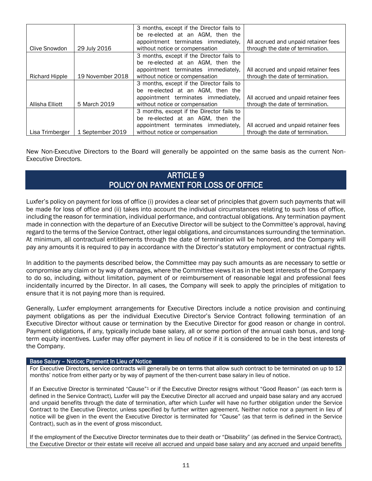|                       |                  | 3 months, except if the Director fails to |                                      |
|-----------------------|------------------|-------------------------------------------|--------------------------------------|
|                       |                  | be re-elected at an AGM, then the         |                                      |
|                       |                  | appointment terminates immediately,       | All accrued and unpaid retainer fees |
| Clive Snowdon         | 29 July 2016     | without notice or compensation            | through the date of termination.     |
|                       |                  | 3 months, except if the Director fails to |                                      |
|                       |                  | be re-elected at an AGM, then the         |                                      |
|                       |                  | appointment terminates immediately.       | All accrued and unpaid retainer fees |
| <b>Richard Hipple</b> | 19 November 2018 | without notice or compensation            | through the date of termination.     |
|                       |                  | 3 months, except if the Director fails to |                                      |
|                       |                  | be re-elected at an AGM, then the         |                                      |
|                       |                  | appointment terminates immediately.       | All accrued and unpaid retainer fees |
| Allisha Elliott       | 5 March 2019     | without notice or compensation            | through the date of termination.     |
|                       |                  | 3 months, except if the Director fails to |                                      |
|                       |                  | be re-elected at an AGM, then the         |                                      |
|                       |                  | appointment terminates immediately,       | All accrued and unpaid retainer fees |
| Lisa Trimberger       | 1 September 2019 | without notice or compensation            | through the date of termination.     |

New Non-Executive Directors to the Board will generally be appointed on the same basis as the current Non-Executive Directors.

### ARTICLE 9 POLICY ON PAYMENT FOR LOSS OF OFFICE

Luxfer's policy on payment for loss of office (i) provides a clear set of principles that govern such payments that will be made for loss of office and (ii) takes into account the individual circumstances relating to such loss of office, including the reason for termination, individual performance, and contractual obligations. Any termination payment made in connection with the departure of an Executive Director will be subject to the Committee's approval, having regard to the terms of the Service Contract, other legal obligations, and circumstances surrounding the termination. At minimum, all contractual entitlements through the date of termination will be honored, and the Company will pay any amounts it is required to pay in accordance with the Director's statutory employment or contractual rights.

In addition to the payments described below, the Committee may pay such amounts as are necessary to settle or compromise any claim or by way of damages, where the Committee views it as in the best interests of the Company to do so, including, without limitation, payment of or reimbursement of reasonable legal and professional fees incidentally incurred by the Director. In all cases, the Company will seek to apply the principles of mitigation to ensure that it is not paying more than is required.

Generally, Luxfer employment arrangements for Executive Directors include a notice provision and continuing payment obligations as per the individual Executive Director's Service Contract following termination of an Executive Director without cause or termination by the Executive Director for good reason or change in control. Payment obligations, if any, typically include base salary, all or some portion of the annual cash bonus, and longterm equity incentives. Luxfer may offer payment in lieu of notice if it is considered to be in the best interests of the Company.

#### Base Salary – Notice; Payment In Lieu of Notice

For Executive Directors, service contracts will generally be on terms that allow such contract to be terminated on up to 12 months' notice from either party or by way of payment of the then-current base salary in lieu of notice.

If an Executive Director is terminated "Cause"<sup>1</sup> or if the Executive Director resigns without "Good Reason" (as each term is defined in the Service Contract), Luxfer will pay the Executive Director all accrued and unpaid base salary and any accrued and unpaid benefits through the date of termination, after which Luxfer will have no further obligation under the Service Contract to the Executive Director, unless specified by further written agreement. Neither notice nor a payment in lieu of notice will be given in the event the Executive Director is terminated for "Cause" (as that term is defined in the Service Contract), such as in the event of gross misconduct.

If the employment of the Executive Director terminates due to their death or "Disability" (as defined in the Service Contract), the Executive Director or their estate will receive all accrued and unpaid base salary and any accrued and unpaid benefits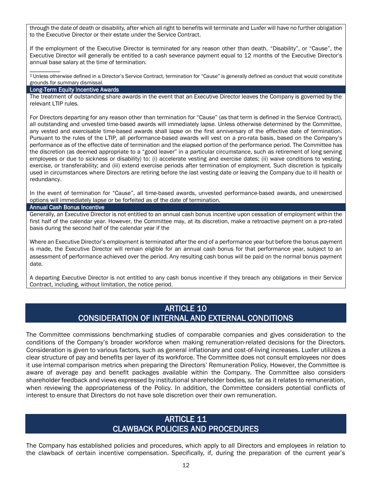through the date of death or disability, after which all right to benefits will terminate and Luxfer will have no further obligation to the Executive Director or their estate under the Service Contract.

If the employment of the Executive Director is terminated for any reason other than death, "Disability", or "Cause", the Executive Director will generally be entitled to a cash severance payment equal to 12 months of the Executive Director's annual base salary at the time of termination.

<sup>1</sup>Unless otherwise defined in a Director's Service Contract, termination for "Cause" is generally defined as conduct that would constitute grounds for summary dismissal.

#### Long-Term Equity Incentive Awards

 $\overline{\phantom{a}}$ 

The treatment of outstanding share awards in the event that an Executive Director leaves the Company is governed by the relevant LTIP rules.

For Directors departing for any reason other than termination for "Cause" (as that term is defined in the Service Contract), all outstanding and unvested time-based awards will immediately lapse. Unless otherwise determined by the Committee, any vested and exercisable time-based awards shall lapse on the first anniversary of the effective date of termination. Pursuant to the rules of the LTIP, all performance-based awards will vest on a pro-rata basis, based on the Company's performance as of the effective date of termination and the elapsed portion of the performance period. The Committee has the discretion (as deemed appropriate to a "good leaver" in a particular circumstance, such as retirement of long serving employees or due to sickness or disability) to: (i) accelerate vesting and exercise dates; (ii) waive conditions to vesting, exercise, or transferability; and (iii) extend exercise periods after termination of employment. Such discretion is typically used in circumstances where Directors are retiring before the last vesting date or leaving the Company due to ill health or redundancy.

In the event of termination for "Cause", all time-based awards, unvested performance-based awards, and unexercised options will immediately lapse or be forfeited as of the date of termination.

#### Annual Cash Bonus Incentive

Generally, an Executive Director is not entitled to an annual cash bonus incentive upon cessation of employment within the first half of the calendar year. However, the Committee may, at its discretion, make a retroactive payment on a pro-rated basis during the second half of the calendar year if the

Where an Executive Director's employment is terminated after the end of a performance year but before the bonus payment is made, the Executive Director will remain eligible for an annual cash bonus for that performance year, subject to an assessment of performance achieved over the period. Any resulting cash bonus will be paid on the normal bonus payment date.

A departing Executive Director is not entitled to any cash bonus incentive if they breach any obligations in their Service Contract, including, without limitation, the notice period.

### ARTICLE 10 CONSIDERATION OF INTERNAL AND EXTERNAL CONDITIONS

The Committee commissions benchmarking studies of comparable companies and gives consideration to the conditions of the Company's broader workforce when making remuneration-related decisions for the Directors. Consideration is given to various factors, such as general inflationary and cost-of-living increases. Luxfer utilizes a clear structure of pay and benefits per layer of its workforce. The Committee does not consult employees nor does it use internal comparison metrics when preparing the Directors' Remuneration Policy. However, the Committee is aware of average pay and benefit packages available within the Company. The Committee also considers shareholder feedback and views expressed by institutional shareholder bodies, so far as it relates to remuneration, when reviewing the appropriateness of the Policy. In addition, the Committee considers potential conflicts of interest to ensure that Directors do not have sole discretion over their own remuneration.

### ARTICLE 11 CLAWBACK POLICIES AND PROCEDURES

The Company has established policies and procedures, which apply to all Directors and employees in relation to the clawback of certain incentive compensation. Specifically, if, during the preparation of the current year's